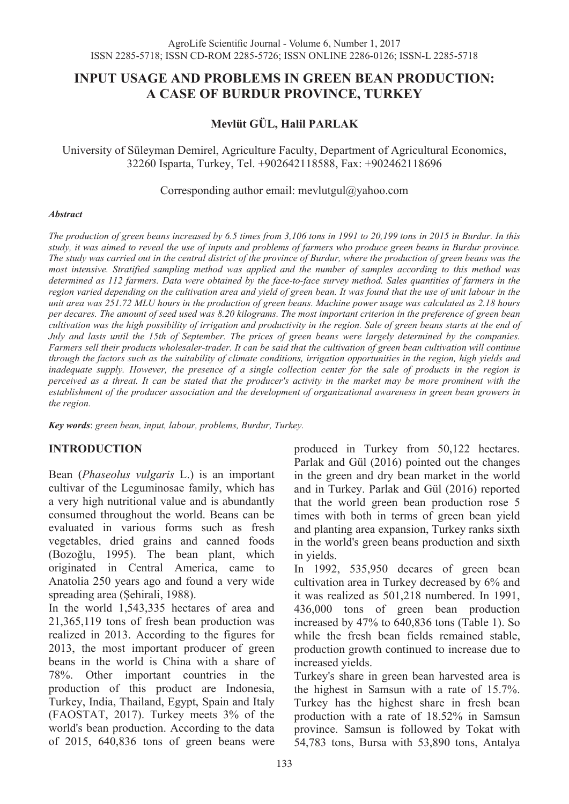# **INPUT USAGE AND PROBLEMS IN GREEN BEAN PRODUCTION: A CASE OF BURDUR PROVINCE, TURKEY**

# **Mevlüt GÜL, Halil PARLAK**

University of Süleyman Demirel, Agriculture Faculty, Department of Agricultural Economics, 32260 Isparta, Turkey, Tel. +902642118588, Fax: +902462118696

Corresponding author email: mevlutgul@yahoo.com

#### *Abstract*

*The production of green beans increased by 6.5 times from 3,106 tons in 1991 to 20,199 tons in 2015 in Burdur. In this study, it was aimed to reveal the use of inputs and problems of farmers who produce green beans in Burdur province. The study was carried out in the central district of the province of Burdur, where the production of green beans was the most intensive. Stratified sampling method was applied and the number of samples according to this method was determined as 112 farmers. Data were obtained by the face-to-face survey method. Sales quantities of farmers in the region varied depending on the cultivation area and yield of green bean. It was found that the use of unit labour in the unit area was 251.72 MLU hours in the production of green beans. Machine power usage was calculated as 2.18 hours per decares. The amount of seed used was 8.20 kilograms. The most important criterion in the preference of green bean cultivation was the high possibility of irrigation and productivity in the region. Sale of green beans starts at the end of July and lasts until the 15th of September. The prices of green beans were largely determined by the companies. Farmers sell their products wholesaler-trader. It can be said that the cultivation of green bean cultivation will continue through the factors such as the suitability of climate conditions, irrigation opportunities in the region, high yields and inadequate supply. However, the presence of a single collection center for the sale of products in the region is perceived as a threat. It can be stated that the producer's activity in the market may be more prominent with the*  establishment of the producer association and the development of organizational awareness in green bean growers in *the region.* 

*Key words*: *green bean, input, labour, problems, Burdur, Turkey.*

### **INTRODUCTION**

Bean (*Phaseolus vulgaris* L.) is an important cultivar of the Leguminosae family, which has a very high nutritional value and is abundantly consumed throughout the world. Beans can be evaluated in various forms such as fresh vegetables, dried grains and canned foods (Bozoğlu, 1995). The bean plant, which originated in Central America, came to Anatolia 250 years ago and found a very wide spreading area (Şehirali, 1988).

In the world 1,543,335 hectares of area and 21,365,119 tons of fresh bean production was realized in 2013. According to the figures for 2013, the most important producer of green beans in the world is China with a share of 78%. Other important countries in the production of this product are Indonesia, Turkey, India, Thailand, Egypt, Spain and Italy (FAOSTAT, 2017). Turkey meets 3% of the world's bean production. According to the data of 2015, 640,836 tons of green beans were

produced in Turkey from 50,122 hectares. Parlak and Gül (2016) pointed out the changes in the green and dry bean market in the world and in Turkey. Parlak and Gül (2016) reported that the world green bean production rose 5 times with both in terms of green bean yield and planting area expansion, Turkey ranks sixth in the world's green beans production and sixth in yields.

In 1992, 535,950 decares of green bean cultivation area in Turkey decreased by 6% and it was realized as 501,218 numbered. In 1991, 436,000 tons of green bean production increased by 47% to 640,836 tons (Table 1). So while the fresh bean fields remained stable, production growth continued to increase due to increased yields.

Turkey's share in green bean harvested area is the highest in Samsun with a rate of 15.7%. Turkey has the highest share in fresh bean production with a rate of 18.52% in Samsun province. Samsun is followed by Tokat with 54,783 tons, Bursa with 53,890 tons, Antalya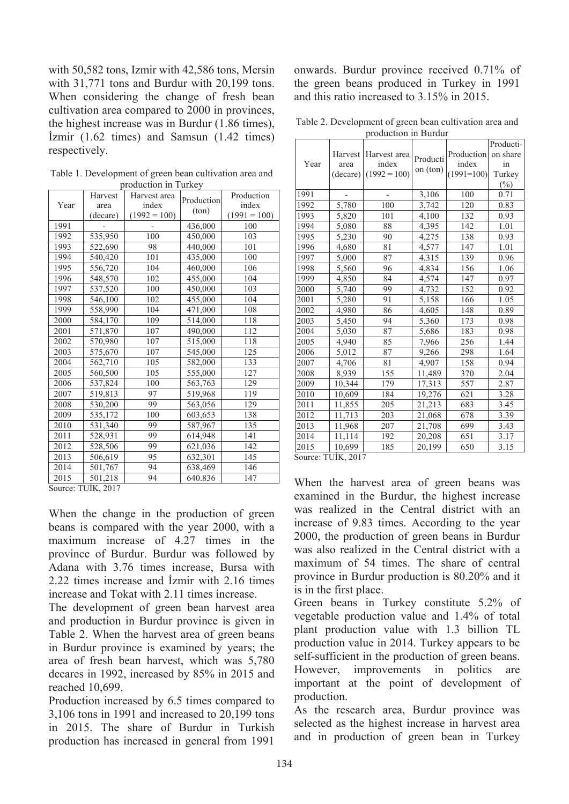with 50,582 tons, Izmir with 42,586 tons, Mersin with 31,771 tons and Burdur with 20,199 tons. When considering the change of fresh bean cultivation area compared to 2000 in provinces, the highest increase was in Burdur (1.86 times), İzmir (1.62 times) and Samsun (1.42 times) respectively.

| production in Turkey         |          |                |                |                |  |  |  |  |
|------------------------------|----------|----------------|----------------|----------------|--|--|--|--|
|                              | Harvest  | Harvest area   | Production     | Production     |  |  |  |  |
| Year                         | area     | index          | $(\text{ton})$ | index          |  |  |  |  |
|                              | (decare) | $(1992 = 100)$ |                | $(1991 = 100)$ |  |  |  |  |
| 1991                         |          |                | 436,000        | 100            |  |  |  |  |
| 1992                         | 535,950  | 100            | 450,000        | 103            |  |  |  |  |
| 1993                         | 522,690  | 98             | 440,000        | 101            |  |  |  |  |
| 1994                         | 540,420  | 101            | 435,000        | 100            |  |  |  |  |
| 1995                         | 556,720  | 104            | 460,000        | 106            |  |  |  |  |
| 1996                         | 548,570  | 102            | 455,000        | 104            |  |  |  |  |
| 1997                         | 537,520  | 100            | 450,000        | 103            |  |  |  |  |
| 1998                         | 546,100  | 102            | 455,000        | 104            |  |  |  |  |
| 1999                         | 558,990  | 104            | 471,000        | 108            |  |  |  |  |
| 2000                         | 584,170  | 109            | 514,000        | 118            |  |  |  |  |
| 2001                         | 571,870  | 107            | 490,000        | 112            |  |  |  |  |
| 2002                         | 570,980  | 107            | 515,000        | 118            |  |  |  |  |
| 2003                         | 575,670  | 107            | 545,000        | 125            |  |  |  |  |
| 2004                         | 562,710  | 105            | 582,000        | 133            |  |  |  |  |
| 2005                         | 560,500  | 105            | 555,000        | 127            |  |  |  |  |
| 2006                         | 537,824  | 100            | 563,763        | 129            |  |  |  |  |
| 2007                         | 519,813  | 97             | 519,968        | 119            |  |  |  |  |
| 2008                         | 530,200  | 99             | 563,056        | 129            |  |  |  |  |
| 2009                         | 535,172  | 100            | 603,653        | 138            |  |  |  |  |
| 2010                         | 531,340  | 99             | 587,967        | 135            |  |  |  |  |
| 2011                         | 528,931  | 99             | 614,948        | 141            |  |  |  |  |
| 2012                         | 528,506  | 99             | 621,036        | 142            |  |  |  |  |
| 2013                         | 506,619  | 95             | 632,301        | 145            |  |  |  |  |
| 2014                         | 501,767  | 94             | 638,469        | 146            |  |  |  |  |
| 2015                         | 501,218  | 94             | 640.836        | 147            |  |  |  |  |
| THE $2017$<br>$C_{\alpha11}$ |          |                |                |                |  |  |  |  |

Table 1. Development of green bean cultivation area and production in Turkey

Source: TUİK, 2017

When the change in the production of green beans is compared with the year 2000, with a maximum increase of 4.27 times in the province of Burdur. Burdur was followed by Adana with 3.76 times increase, Bursa with 2.22 times increase and İzmir with 2.16 times increase and Tokat with 2.11 times increase.

The development of green bean harvest area and production in Burdur province is given in Table 2. When the harvest area of green beans in Burdur province is examined by years; the area of fresh bean harvest, which was 5,780 decares in 1992, increased by 85% in 2015 and reached 10,699.

Production increased by 6.5 times compared to 3,106 tons in 1991 and increased to 20,199 tons in 2015. The share of Burdur in Turkish production has increased in general from 1991

onwards. Burdur province received 0.71% of the green beans produced in Turkey in 1991 and this ratio increased to 3.15% in 2015.

Table 2. Development of green bean cultivation area and production in Burdur

|      |                             | лочисноп ш пигии                        |                      |                                     |                                                 |
|------|-----------------------------|-----------------------------------------|----------------------|-------------------------------------|-------------------------------------------------|
| Year | Harvest<br>area<br>(decare) | Harvest area<br>index<br>$(1992 = 100)$ | Producti<br>on (ton) | Production<br>index<br>$(1991=100)$ | Producti-<br>on share<br>in<br>Turkey<br>$(\%)$ |
| 1991 |                             |                                         | 3,106                | 100                                 | 0.71                                            |
| 1992 | 5,780                       | 100                                     | 3,742                | 120                                 | 0.83                                            |
| 1993 | 5,820                       | 101                                     | 4,100                | 132                                 | 0.93                                            |
| 1994 | 5,080                       | 88                                      | 4,395                | 142                                 | 1.01                                            |
| 1995 | 5,230                       | 90                                      | 4,275                | 138                                 | 0.93                                            |
| 1996 | 4,680                       | 81                                      | 4,577                | 147                                 | 1.01                                            |
| 1997 | 5,000                       | 87                                      | 4,315                | 139                                 | 0.96                                            |
| 1998 | 5,560                       | 96                                      | 4,834                | 156                                 | 1.06                                            |
| 1999 | 4,850                       | 84                                      | 4,574                | 147                                 | 0.97                                            |
| 2000 | 5,740                       | 99                                      | 4,732                | 152                                 | 0.92                                            |
| 2001 | 5,280                       | 91                                      | 5,158                | 166                                 | 1.05                                            |
| 2002 | 4,980                       | 86                                      | 4,605                | 148                                 | 0.89                                            |
| 2003 | 5,450                       | 94                                      | 5,360                | 173                                 | 0.98                                            |
| 2004 | 5,030                       | 87                                      | 5,686                | 183                                 | 0.98                                            |
| 2005 | 4,940                       | 85                                      | 7,966                | 256                                 | 1.44                                            |
| 2006 | 5,012                       | 87                                      | 9,266                | 298                                 | 1.64                                            |
| 2007 | 4,706                       | 81                                      | 4,907                | 158                                 | 0.94                                            |
| 2008 | 8,939                       | 155                                     | 11,489               | 370                                 | 2.04                                            |
| 2009 | 10,344                      | 179                                     | 17,313               | 557                                 | 2.87                                            |
| 2010 | 10,609                      | 184                                     | 19,276               | 621                                 | 3.28                                            |
| 2011 | 11,855                      | 205                                     | 21,213               | 683                                 | 3.45                                            |
| 2012 | $\overline{1}1,713$         | 203                                     | 21,068               | 678                                 | 3.39                                            |
| 2013 | 11,968                      | 207                                     | 21,708               | 699                                 | 3.43                                            |
| 2014 | 11,114                      | 192                                     | 20,208               | 651                                 | 3.17                                            |
| 2015 | 10,699                      | 185                                     | 20,199               | 650                                 | $\overline{3.15}$                               |
|      | $TUTITZ$ 0.017              |                                         |                      |                                     |                                                 |

Source: TUİK, 2017

When the harvest area of green beans was examined in the Burdur, the highest increase was realized in the Central district with an increase of 9.83 times. According to the year 2000, the production of green beans in Burdur was also realized in the Central district with a maximum of 54 times. The share of central province in Burdur production is 80.20% and it is in the first place.

Green beans in Turkey constitute 5.2% of vegetable production value and 1.4% of total plant production value with 1.3 billion TL production value in 2014. Turkey appears to be self-sufficient in the production of green beans. However, improvements in politics are important at the point of development of production.

As the research area, Burdur province was selected as the highest increase in harvest area and in production of green bean in Turkey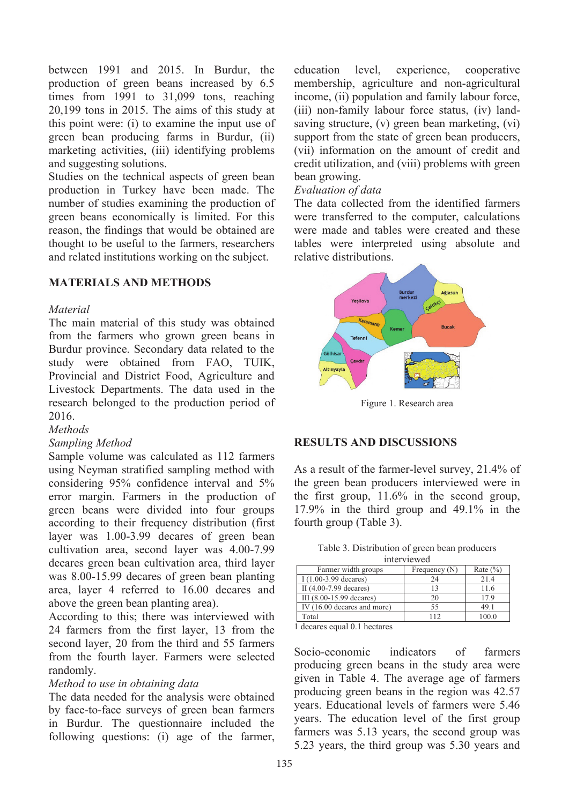between 1991 and 2015. In Burdur, the production of green beans increased by 6.5 times from 1991 to 31,099 tons, reaching 20,199 tons in 2015. The aims of this study at this point were: (i) to examine the input use of green bean producing farms in Burdur, (ii) marketing activities, (iii) identifying problems and suggesting solutions.

Studies on the technical aspects of green bean production in Turkey have been made. The number of studies examining the production of green beans economically is limited. For this reason, the findings that would be obtained are thought to be useful to the farmers, researchers and related institutions working on the subject.

### **MATERIALS AND METHODS**

#### *Material*

The main material of this study was obtained from the farmers who grown green beans in Burdur province. Secondary data related to the study were obtained from FAO, TUIK, Provincial and District Food, Agriculture and Livestock Departments. The data used in the research belonged to the production period of 2016.

#### *Methods*

#### *Sampling Method*

Sample volume was calculated as 112 farmers using Neyman stratified sampling method with considering 95% confidence interval and 5% error margin. Farmers in the production of green beans were divided into four groups according to their frequency distribution (first layer was 1.00-3.99 decares of green bean cultivation area, second layer was 4.00-7.99 decares green bean cultivation area, third layer was 8.00-15.99 decares of green bean planting area, layer 4 referred to 16.00 decares and above the green bean planting area).

According to this; there was interviewed with 24 farmers from the first layer, 13 from the second layer, 20 from the third and 55 farmers from the fourth layer. Farmers were selected randomly.

#### *Method to use in obtaining data*

The data needed for the analysis were obtained by face-to-face surveys of green bean farmers in Burdur. The questionnaire included the following questions: (i) age of the farmer, education level, experience, cooperative membership, agriculture and non-agricultural income, (ii) population and family labour force, (iii) non-family labour force status, (iv) landsaving structure, (v) green bean marketing, (vi) support from the state of green bean producers, (vii) information on the amount of credit and credit utilization, and (viii) problems with green bean growing.

#### *Evaluation of data*

The data collected from the identified farmers were transferred to the computer, calculations were made and tables were created and these tables were interpreted using absolute and relative distributions.



Figure 1. Research area

#### **RESULTS AND DISCUSSIONS**

As a result of the farmer-level survey, 21.4% of the green bean producers interviewed were in the first group, 11.6% in the second group, 17.9% in the third group and 49.1% in the fourth group (Table 3).

Table 3. Distribution of green bean producers

| interviewed                 |                 |              |  |  |  |  |  |
|-----------------------------|-----------------|--------------|--|--|--|--|--|
| Farmer width groups         | Frequency $(N)$ | Rate $(\% )$ |  |  |  |  |  |
| $I(1.00-3.99$ decares)      | 24              | 21.4         |  |  |  |  |  |
| II (4.00-7.99 decares)      | 13              | 11.6         |  |  |  |  |  |
| III (8.00-15.99 decares)    | 20              | 17.9         |  |  |  |  |  |
| IV (16.00 decares and more) | 55              | 49.1         |  |  |  |  |  |
| Total                       | 112             | 100.0        |  |  |  |  |  |

1 decares equal 0.1 hectares

Socio-economic indicators of farmers producing green beans in the study area were given in Table 4. The average age of farmers producing green beans in the region was 42.57 years. Educational levels of farmers were 5.46 years. The education level of the first group farmers was 5.13 years, the second group was 5.23 years, the third group was 5.30 years and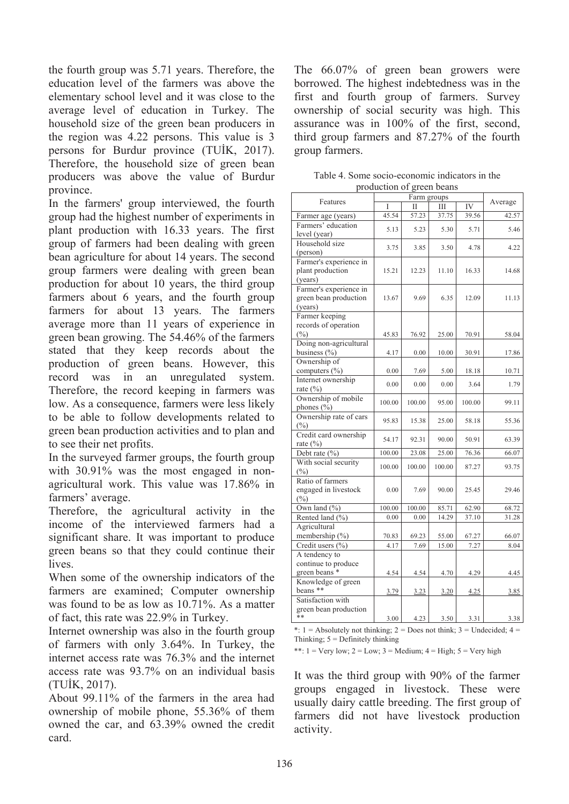the fourth group was 5.71 years. Therefore, the education level of the farmers was above the elementary school level and it was close to the average level of education in Turkey. The household size of the green bean producers in the region was 4.22 persons. This value is 3 persons for Burdur province (TUİK, 2017). Therefore, the household size of green bean producers was above the value of Burdur province.

In the farmers' group interviewed, the fourth group had the highest number of experiments in plant production with 16.33 years. The first group of farmers had been dealing with green bean agriculture for about 14 years. The second group farmers were dealing with green bean production for about 10 years, the third group farmers about 6 years, and the fourth group farmers for about 13 years. The farmers average more than 11 years of experience in green bean growing. The 54.46% of the farmers stated that they keep records about the production of green beans. However, this record was in an unregulated system. Therefore, the record keeping in farmers was low. As a consequence, farmers were less likely to be able to follow developments related to green bean production activities and to plan and to see their net profits.

In the surveyed farmer groups, the fourth group with 30.91% was the most engaged in nonagricultural work. This value was 17.86% in farmers' average.

Therefore, the agricultural activity in the income of the interviewed farmers had a significant share. It was important to produce green beans so that they could continue their lives.

When some of the ownership indicators of the farmers are examined; Computer ownership was found to be as low as 10.71%. As a matter of fact, this rate was 22.9% in Turkey.

Internet ownership was also in the fourth group of farmers with only 3.64%. In Turkey, the internet access rate was 76.3% and the internet access rate was 93.7% on an individual basis (TUİK, 2017).

About 99.11% of the farmers in the area had ownership of mobile phone, 55.36% of them owned the car, and 63.39% owned the credit card.

The 66.07% of green bean growers were borrowed. The highest indebtedness was in the first and fourth group of farmers. Survey ownership of social security was high. This assurance was in 100% of the first, second, third group farmers and 87.27% of the fourth group farmers.

| production or green beans                                  |             |        |        |         |       |
|------------------------------------------------------------|-------------|--------|--------|---------|-------|
| Features                                                   | Farm groups |        |        | Average |       |
|                                                            | Ī           | П      | III    | IV      |       |
| Farmer age (years)                                         | 45.54       | 57.23  | 37.75  | 39.56   | 42.57 |
| Farmers' education<br>level (year)                         | 5.13        | 5.23   | 5.30   | 5.71    | 5.46  |
| Household size<br>(person)                                 | 3.75        | 3.85   | 3.50   | 4.78    | 4.22  |
| Farmer's experience in<br>plant production<br>(years)      | 15.21       | 12.23  | 11.10  | 16.33   | 14.68 |
| Farmer's experience in<br>green bean production<br>(years) | 13.67       | 9.69   | 6.35   | 12.09   | 11.13 |
| Farmer keeping<br>records of operation<br>$(\%)$           | 45.83       | 76.92  | 25.00  | 70.91   | 58.04 |
| Doing non-agricultural<br>business (%)                     | 4.17        | 0.00   | 10.00  | 30.91   | 17.86 |
| Ownership of<br>computers (%)                              | 0.00        | 7.69   | 5.00   | 18.18   | 10.71 |
| Internet ownership<br>rate $(\% )$                         | 0.00        | 0.00   | 0.00   | 3.64    | 1.79  |
| Ownership of mobile<br>phones (%)                          | 100.00      | 100.00 | 95.00  | 100.00  | 99.11 |
| Ownership rate of cars<br>$(\%)$                           | 95.83       | 15.38  | 25.00  | 58.18   | 55.36 |
| Credit card ownership<br>rate $(\%)$                       | 54.17       | 92.31  | 90.00  | 50.91   | 63.39 |
| Debt rate (%)                                              | 100.00      | 23.08  | 25.00  | 76.36   | 66.07 |
| With social security<br>$(\%)$                             | 100.00      | 100.00 | 100.00 | 87.27   | 93.75 |
| Ratio of farmers<br>engaged in livestock<br>(%)            | 0.00        | 7.69   | 90.00  | 25.45   | 29.46 |
| Own land (%)                                               | 100.00      | 100.00 | 85.71  | 62.90   | 68.72 |
| Rented land (%)                                            | 0.00        | 0.00   | 14.29  | 37.10   | 31.28 |
| Agricultural                                               |             |        |        |         |       |
| membership (%)                                             | 70.83       | 69.23  | 55.00  | 67.27   | 66.07 |
| Credit users (%)                                           | 4.17        | 7.69   | 15.00  | 7.27    | 8.04  |
| A tendency to                                              |             |        |        |         |       |
| continue to produce                                        |             |        |        |         |       |
| green beans *                                              | 4.54        | 4.54   | 4.70   | 4.29    | 4.45  |
| Knowledge of green                                         |             |        |        |         |       |
| beans **                                                   | 3.79        | 3.23   | 3.20   | 4.25    | 3.85  |
| Satisfaction with<br>green bean production                 |             |        |        |         |       |
| **                                                         | 3.00        | 4.23   | 3.50   | 3.31    | 3.38  |

Table 4. Some socio-economic indicators in the production of green beans

\*: 1 = Absolutely not thinking; 2 = Does not think; 3 = Undecided; 4 = Thinking;  $5 =$  Definitely thinking

\*\*:  $1 = \text{Very low}; 2 = \text{Low}; 3 = \text{ Medium}; 4 = \text{High}; 5 = \text{Very high}$ 

It was the third group with 90% of the farmer groups engaged in livestock. These were usually dairy cattle breeding. The first group of farmers did not have livestock production activity.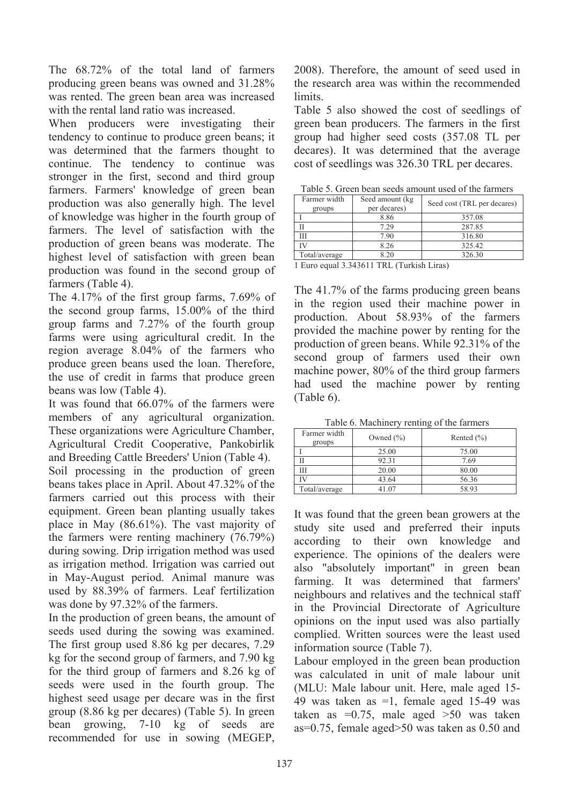The 68.72% of the total land of farmers producing green beans was owned and 31.28% was rented. The green bean area was increased with the rental land ratio was increased.

When producers were investigating their tendency to continue to produce green beans; it was determined that the farmers thought to continue. The tendency to continue was stronger in the first, second and third group farmers. Farmers' knowledge of green bean production was also generally high. The level of knowledge was higher in the fourth group of farmers. The level of satisfaction with the production of green beans was moderate. The highest level of satisfaction with green bean production was found in the second group of farmers (Table 4).

The 4.17% of the first group farms, 7.69% of the second group farms, 15.00% of the third group farms and 7.27% of the fourth group farms were using agricultural credit. In the region average 8.04% of the farmers who produce green beans used the loan. Therefore, the use of credit in farms that produce green beans was low (Table 4).

It was found that 66.07% of the farmers were members of any agricultural organization. These organizations were Agriculture Chamber, Agricultural Credit Cooperative, Pankobirlik and Breeding Cattle Breeders' Union (Table 4). Soil processing in the production of green beans takes place in April. About 47.32% of the farmers carried out this process with their equipment. Green bean planting usually takes place in May (86.61%). The vast majority of the farmers were renting machinery (76.79%) during sowing. Drip irrigation method was used as irrigation method. Irrigation was carried out in May-August period. Animal manure was used by 88.39% of farmers. Leaf fertilization was done by 97.32% of the farmers.

In the production of green beans, the amount of seeds used during the sowing was examined. The first group used 8.86 kg per decares, 7.29 kg for the second group of farmers, and 7.90 kg for the third group of farmers and 8.26 kg of seeds were used in the fourth group. The highest seed usage per decare was in the first group (8.86 kg per decares) (Table 5). In green bean growing, 7-10 kg of seeds are recommended for use in sowing (MEGEP,

2008). Therefore, the amount of seed used in the research area was within the recommended limits.

Table 5 also showed the cost of seedlings of green bean producers. The farmers in the first group had higher seed costs (357.08 TL per decares). It was determined that the average cost of seedlings was 326.30 TRL per decares.

Table 5. Green bean seeds amount used of the farmers

| Farmer width<br>groups                                     | Seed amount (kg<br>per decares) | Seed cost (TRL per decares) |  |  |  |  |  |
|------------------------------------------------------------|---------------------------------|-----------------------------|--|--|--|--|--|
|                                                            | 8.86                            | 357.08                      |  |  |  |  |  |
|                                                            | 7.29                            | 287.85                      |  |  |  |  |  |
| Ш                                                          | 7.90                            | 316.80                      |  |  |  |  |  |
|                                                            | 8.26                            | 325.42                      |  |  |  |  |  |
| Total/average                                              | 8.20                            | 326.30                      |  |  |  |  |  |
| $\blacksquare$<br>$1.2.2.12 \times 1.1$ TDT.<br>$\sqrt{2}$ |                                 |                             |  |  |  |  |  |

1 Euro equal 3.343611 TRL (Turkish Liras)

The 41.7% of the farms producing green beans in the region used their machine power in production. About 58.93% of the farmers provided the machine power by renting for the production of green beans. While 92.31% of the second group of farmers used their own machine power, 80% of the third group farmers had used the machine power by renting (Table 6).

Table 6. Machinery renting of the farmers

| Farmer width<br>groups | Owned $(\% )$ | Rented $(\% )$ |
|------------------------|---------------|----------------|
|                        | 25.00         | 75.00          |
|                        | 92.31         | 7.69           |
| Ш                      | 20.00         | 80.00          |
|                        | 43.64         | 56.36          |
| Total/average          | 41.07         | 58.93          |

It was found that the green bean growers at the study site used and preferred their inputs according to their own knowledge and experience. The opinions of the dealers were also "absolutely important" in green bean farming. It was determined that farmers' neighbours and relatives and the technical staff in the Provincial Directorate of Agriculture opinions on the input used was also partially complied. Written sources were the least used information source (Table 7).

Labour employed in the green bean production was calculated in unit of male labour unit (MLU: Male labour unit. Here, male aged 15- 49 was taken as =1, female aged 15-49 was taken as  $=0.75$ , male aged  $>50$  was taken as=0.75, female aged>50 was taken as 0.50 and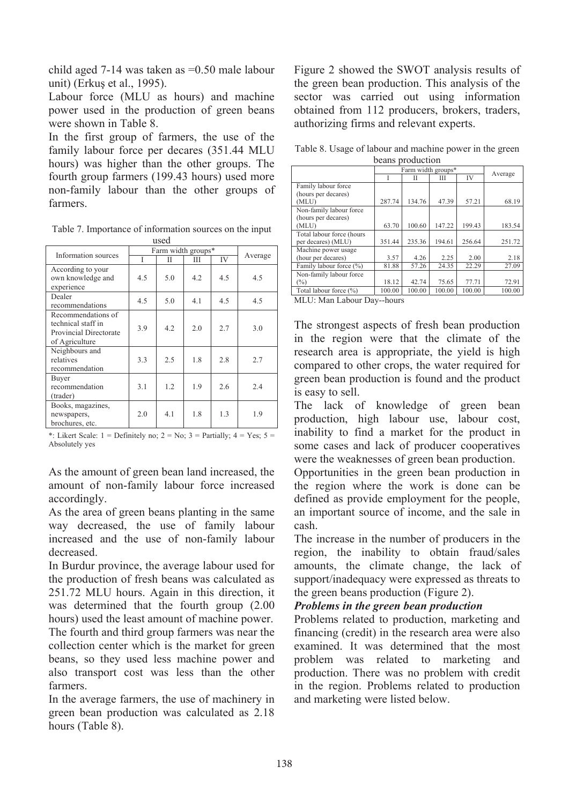child aged 7-14 was taken as =0.50 male labour unit) (Erkuş et al., 1995).

Labour force (MLU as hours) and machine power used in the production of green beans were shown in Table 8.

In the first group of farmers, the use of the family labour force per decares (351.44 MLU hours) was higher than the other groups. The fourth group farmers (199.43 hours) used more non-family labour than the other groups of farmers.

Table 7. Importance of information sources on the input used

| Information sources                                                                  | Farm width groups* |     |     |     |         |
|--------------------------------------------------------------------------------------|--------------------|-----|-----|-----|---------|
|                                                                                      |                    | П   | Ш   | IV  | Average |
| According to your<br>own knowledge and<br>experience                                 | 4.5                | 5.0 | 4.2 | 4.5 | 4.5     |
| Dealer<br>recommendations                                                            | 4.5                | 5.0 | 4.1 | 4.5 | 4.5     |
| Recommendations of<br>technical staff in<br>Provincial Directorate<br>of Agriculture | 3.9                | 4.2 | 2.0 | 2.7 | 3.0     |
| Neighbours and<br>relatives<br>recommendation                                        | 3.3                | 2.5 | 1.8 | 2.8 | 2.7     |
| Buyer<br>recommendation<br>(trader)                                                  | 3.1                | 1.2 | 1.9 | 2.6 | 2.4     |
| Books, magazines,<br>newspapers,<br>brochures, etc.                                  | 2.0                | 4.1 | 1.8 | 1.3 | 1.9     |

\*: Likert Scale:  $1 = Definitely no; 2 = No; 3 = Partially; 4 = Yes; 5 =$ Absolutely yes

As the amount of green bean land increased, the amount of non-family labour force increased accordingly.

As the area of green beans planting in the same way decreased, the use of family labour increased and the use of non-family labour decreased.

In Burdur province, the average labour used for the production of fresh beans was calculated as 251.72 MLU hours. Again in this direction, it was determined that the fourth group (2.00 hours) used the least amount of machine power. The fourth and third group farmers was near the collection center which is the market for green beans, so they used less machine power and also transport cost was less than the other farmers.

In the average farmers, the use of machinery in green bean production was calculated as 2.18 hours (Table 8).

Figure 2 showed the SWOT analysis results of the green bean production. This analysis of the sector was carried out using information obtained from 112 producers, brokers, traders, authorizing firms and relevant experts.

Table 8. Usage of labour and machine power in the green beans production

|                           | Farm width groups* |        |        |        |         |
|---------------------------|--------------------|--------|--------|--------|---------|
|                           |                    | Π      | Ш      | IV     | Average |
| Family labour force       |                    |        |        |        |         |
| (hours per decares)       |                    |        |        |        |         |
| (MLU)                     | 287.74             | 134.76 | 47.39  | 57.21  | 68.19   |
| Non-family labour force   |                    |        |        |        |         |
| (hours per decares)       |                    |        |        |        |         |
| (MLU)                     | 63.70              | 100.60 | 147.22 | 199.43 | 183.54  |
| Total labour force (hours |                    |        |        |        |         |
| per decares) (MLU)        | 351.44             | 235.36 | 194.61 | 256.64 | 251.72  |
| Machine power usage       |                    |        |        |        |         |
| (hour per decares)        | 3.57               | 4.26   | 2.25   | 2.00   | 2.18    |
| Family labour force (%)   | 81.88              | 57.26  | 24.35  | 22.29  | 27.09   |
| Non-family labour force   |                    |        |        |        |         |
| (%)                       | 18.12              | 42.74  | 75.65  | 77.71  | 72.91   |
| Total labour force (%)    | 100.00             | 100.00 | 100.00 | 100.00 | 100.00  |

MLU: Man Labour Day--hours

The strongest aspects of fresh bean production in the region were that the climate of the research area is appropriate, the yield is high compared to other crops, the water required for green bean production is found and the product is easy to sell.

The lack of knowledge of green bean production, high labour use, labour cost, inability to find a market for the product in some cases and lack of producer cooperatives were the weaknesses of green bean production.

Opportunities in the green bean production in the region where the work is done can be defined as provide employment for the people, an important source of income, and the sale in cash.

The increase in the number of producers in the region, the inability to obtain fraud/sales amounts, the climate change, the lack of support/inadequacy were expressed as threats to the green beans production (Figure 2).

### *Problems in the green bean production*

Problems related to production, marketing and financing (credit) in the research area were also examined. It was determined that the most problem was related to marketing and production. There was no problem with credit in the region. Problems related to production and marketing were listed below.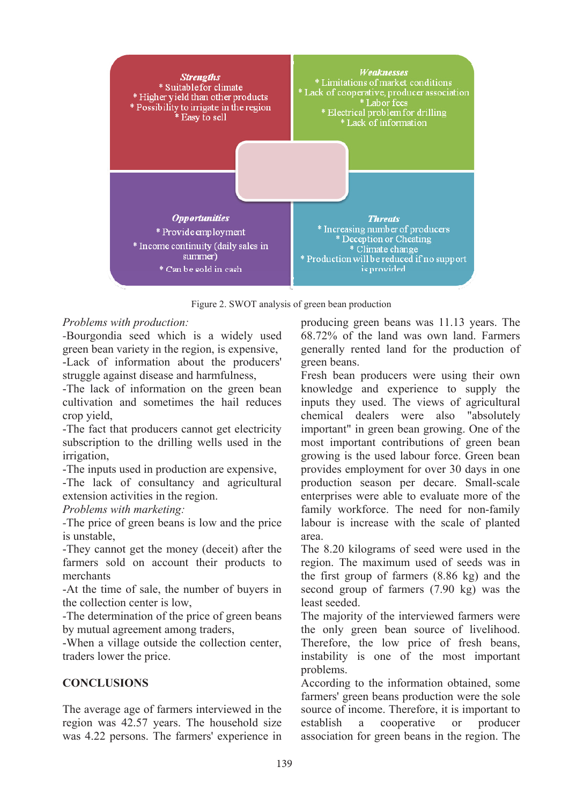

Figure 2. SWOT analysis of green bean production

#### *Problems with production:*

*-*Bourgondia seed which is a widely used green bean variety in the region, is expensive, -Lack of information about the producers' struggle against disease and harmfulness,

-The lack of information on the green bean cultivation and sometimes the hail reduces crop yield,

-The fact that producers cannot get electricity subscription to the drilling wells used in the irrigation,

-The inputs used in production are expensive,

-The lack of consultancy and agricultural extension activities in the region.

*Problems with marketing:* 

*-*The price of green beans is low and the price is unstable,

-They cannot get the money (deceit) after the farmers sold on account their products to merchants

-At the time of sale, the number of buyers in the collection center is low,

-The determination of the price of green beans by mutual agreement among traders,

-When a village outside the collection center, traders lower the price.

# **CONCLUSIONS**

The average age of farmers interviewed in the region was 42.57 years. The household size was 4.22 persons. The farmers' experience in producing green beans was 11.13 years. The 68.72% of the land was own land. Farmers generally rented land for the production of green beans.

Fresh bean producers were using their own knowledge and experience to supply the inputs they used. The views of agricultural chemical dealers were also "absolutely important" in green bean growing. One of the most important contributions of green bean growing is the used labour force. Green bean provides employment for over 30 days in one production season per decare. Small-scale enterprises were able to evaluate more of the family workforce. The need for non-family labour is increase with the scale of planted area.

The 8.20 kilograms of seed were used in the region. The maximum used of seeds was in the first group of farmers (8.86 kg) and the second group of farmers (7.90 kg) was the least seeded.

The majority of the interviewed farmers were the only green bean source of livelihood. Therefore, the low price of fresh beans, instability is one of the most important problems.

According to the information obtained, some farmers' green beans production were the sole source of income. Therefore, it is important to establish a cooperative or producer association for green beans in the region. The